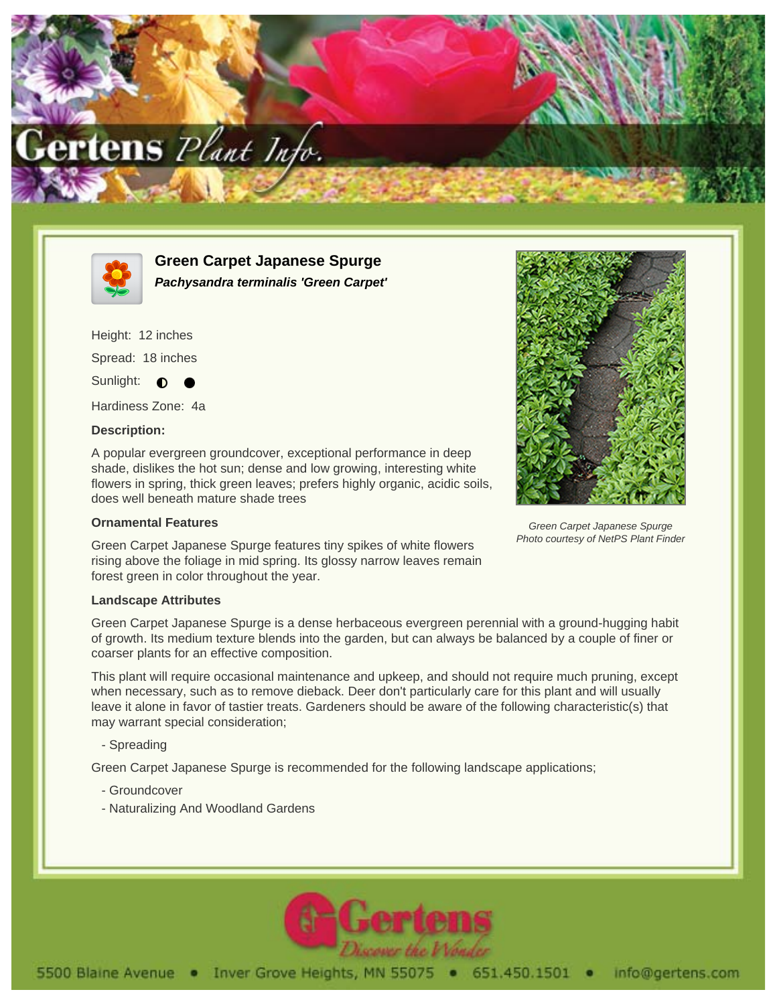



**Green Carpet Japanese Spurge Pachysandra terminalis 'Green Carpet'**

Height: 12 inches Spread: 18 inches Sunlight:  $\bullet$ 

Hardiness Zone: 4a

### **Description:**

A popular evergreen groundcover, exceptional performance in deep shade, dislikes the hot sun; dense and low growing, interesting white flowers in spring, thick green leaves; prefers highly organic, acidic soils, does well beneath mature shade trees

## **Ornamental Features**

Green Carpet Japanese Spurge features tiny spikes of white flowers rising above the foliage in mid spring. Its glossy narrow leaves remain forest green in color throughout the year.

#### **Landscape Attributes**

Green Carpet Japanese Spurge is a dense herbaceous evergreen perennial with a ground-hugging habit of growth. Its medium texture blends into the garden, but can always be balanced by a couple of finer or coarser plants for an effective composition.

This plant will require occasional maintenance and upkeep, and should not require much pruning, except when necessary, such as to remove dieback. Deer don't particularly care for this plant and will usually leave it alone in favor of tastier treats. Gardeners should be aware of the following characteristic(s) that may warrant special consideration;

## - Spreading

Green Carpet Japanese Spurge is recommended for the following landscape applications;

- Groundcover
- Naturalizing And Woodland Gardens





Green Carpet Japanese Spurge Photo courtesy of NetPS Plant Finder